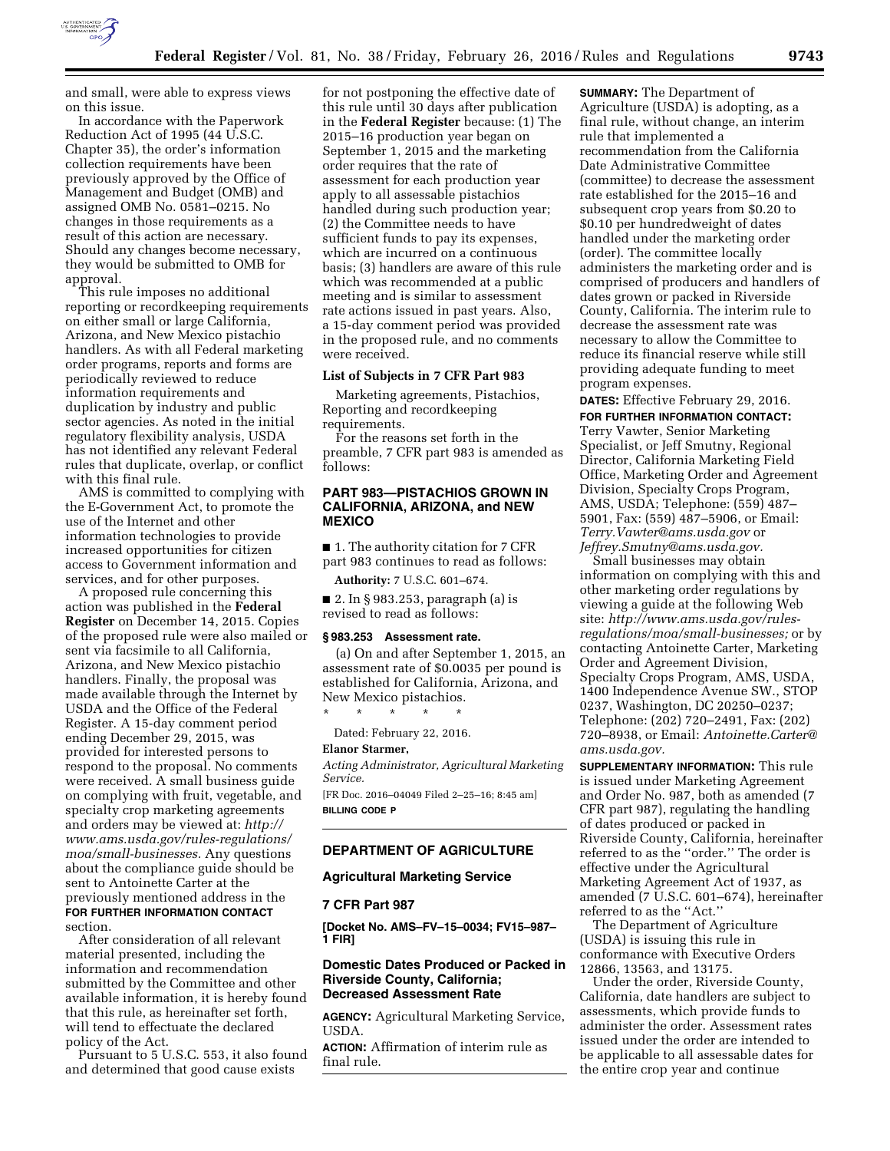

and small, were able to express views on this issue.

In accordance with the Paperwork Reduction Act of 1995 (44 U.S.C. Chapter 35), the order's information collection requirements have been previously approved by the Office of Management and Budget (OMB) and assigned OMB No. 0581–0215. No changes in those requirements as a result of this action are necessary. Should any changes become necessary, they would be submitted to OMB for approval.

This rule imposes no additional reporting or recordkeeping requirements on either small or large California, Arizona, and New Mexico pistachio handlers. As with all Federal marketing order programs, reports and forms are periodically reviewed to reduce information requirements and duplication by industry and public sector agencies. As noted in the initial regulatory flexibility analysis, USDA has not identified any relevant Federal rules that duplicate, overlap, or conflict with this final rule.

AMS is committed to complying with the E-Government Act, to promote the use of the Internet and other information technologies to provide increased opportunities for citizen access to Government information and services, and for other purposes.

A proposed rule concerning this action was published in the **Federal Register** on December 14, 2015. Copies of the proposed rule were also mailed or sent via facsimile to all California, Arizona, and New Mexico pistachio handlers. Finally, the proposal was made available through the Internet by USDA and the Office of the Federal Register. A 15-day comment period ending December 29, 2015, was provided for interested persons to respond to the proposal. No comments were received. A small business guide on complying with fruit, vegetable, and specialty crop marketing agreements and orders may be viewed at: *[http://](http://www.ams.usda.gov/rules-regulations/moa/small-businesses) [www.ams.usda.gov/rules-regulations/](http://www.ams.usda.gov/rules-regulations/moa/small-businesses) [moa/small-businesses.](http://www.ams.usda.gov/rules-regulations/moa/small-businesses)* Any questions about the compliance guide should be sent to Antoinette Carter at the previously mentioned address in the **FOR FURTHER INFORMATION CONTACT** section.

After consideration of all relevant material presented, including the information and recommendation submitted by the Committee and other available information, it is hereby found that this rule, as hereinafter set forth, will tend to effectuate the declared policy of the Act.

Pursuant to 5 U.S.C. 553, it also found and determined that good cause exists

for not postponing the effective date of this rule until 30 days after publication in the **Federal Register** because: (1) The 2015–16 production year began on September 1, 2015 and the marketing order requires that the rate of assessment for each production year apply to all assessable pistachios handled during such production year; (2) the Committee needs to have sufficient funds to pay its expenses, which are incurred on a continuous basis; (3) handlers are aware of this rule which was recommended at a public meeting and is similar to assessment rate actions issued in past years. Also, a 15-day comment period was provided in the proposed rule, and no comments were received.

# **List of Subjects in 7 CFR Part 983**

Marketing agreements, Pistachios, Reporting and recordkeeping requirements.

For the reasons set forth in the preamble, 7 CFR part 983 is amended as follows:

# **PART 983—PISTACHIOS GROWN IN CALIFORNIA, ARIZONA, and NEW MEXICO**

■ 1. The authority citation for 7 CFR part 983 continues to read as follows:

**Authority:** 7 U.S.C. 601–674.

■ 2. In § 983.253, paragraph (a) is revised to read as follows:

### **§ 983.253 Assessment rate.**

(a) On and after September 1, 2015, an assessment rate of \$0.0035 per pound is established for California, Arizona, and New Mexico pistachios.

\* \* \* \* \* Dated: February 22, 2016.

#### **Elanor Starmer,**

*Acting Administrator, Agricultural Marketing Service.* 

[FR Doc. 2016–04049 Filed 2–25–16; 8:45 am] **BILLING CODE P** 

### **DEPARTMENT OF AGRICULTURE**

### **Agricultural Marketing Service**

#### **7 CFR Part 987**

**[Docket No. AMS–FV–15–0034; FV15–987– 1 FIR]** 

### **Domestic Dates Produced or Packed in Riverside County, California; Decreased Assessment Rate**

**AGENCY:** Agricultural Marketing Service, USDA.

**ACTION:** Affirmation of interim rule as final rule.

**SUMMARY:** The Department of Agriculture (USDA) is adopting, as a final rule, without change, an interim rule that implemented a recommendation from the California Date Administrative Committee (committee) to decrease the assessment rate established for the 2015–16 and subsequent crop years from \$0.20 to \$0.10 per hundredweight of dates handled under the marketing order (order). The committee locally administers the marketing order and is comprised of producers and handlers of dates grown or packed in Riverside County, California. The interim rule to decrease the assessment rate was necessary to allow the Committee to reduce its financial reserve while still providing adequate funding to meet program expenses.

**DATES:** Effective February 29, 2016. **FOR FURTHER INFORMATION CONTACT:**  Terry Vawter, Senior Marketing Specialist, or Jeff Smutny, Regional Director, California Marketing Field Office, Marketing Order and Agreement Division, Specialty Crops Program, AMS, USDA; Telephone: (559) 487– 5901, Fax: (559) 487–5906, or Email: *[Terry.Vawter@ams.usda.gov](mailto:Terry.Vawter@ams.usda.gov)* or *[Jeffrey.Smutny@ams.usda.gov.](mailto:Jeffrey.Smutny@ams.usda.gov)* 

Small businesses may obtain information on complying with this and other marketing order regulations by viewing a guide at the following Web site: *[http://www.ams.usda.gov/rules](http://www.ams.usda.gov/rules-regulations/moa/small-businesses)[regulations/moa/small-businesses;](http://www.ams.usda.gov/rules-regulations/moa/small-businesses)* or by contacting Antoinette Carter, Marketing Order and Agreement Division, Specialty Crops Program, AMS, USDA, 1400 Independence Avenue SW., STOP 0237, Washington, DC 20250–0237; Telephone: (202) 720–2491, Fax: (202) 720–8938, or Email: *[Antoinette.Carter@](mailto:Antoinette.Carter@ams.usda.gov) [ams.usda.gov.](mailto:Antoinette.Carter@ams.usda.gov)* 

**SUPPLEMENTARY INFORMATION:** This rule is issued under Marketing Agreement and Order No. 987, both as amended (7 CFR part 987), regulating the handling of dates produced or packed in Riverside County, California, hereinafter referred to as the ''order.'' The order is effective under the Agricultural Marketing Agreement Act of 1937, as amended (7 U.S.C. 601–674), hereinafter referred to as the ''Act.''

The Department of Agriculture (USDA) is issuing this rule in conformance with Executive Orders 12866, 13563, and 13175.

Under the order, Riverside County, California, date handlers are subject to assessments, which provide funds to administer the order. Assessment rates issued under the order are intended to be applicable to all assessable dates for the entire crop year and continue